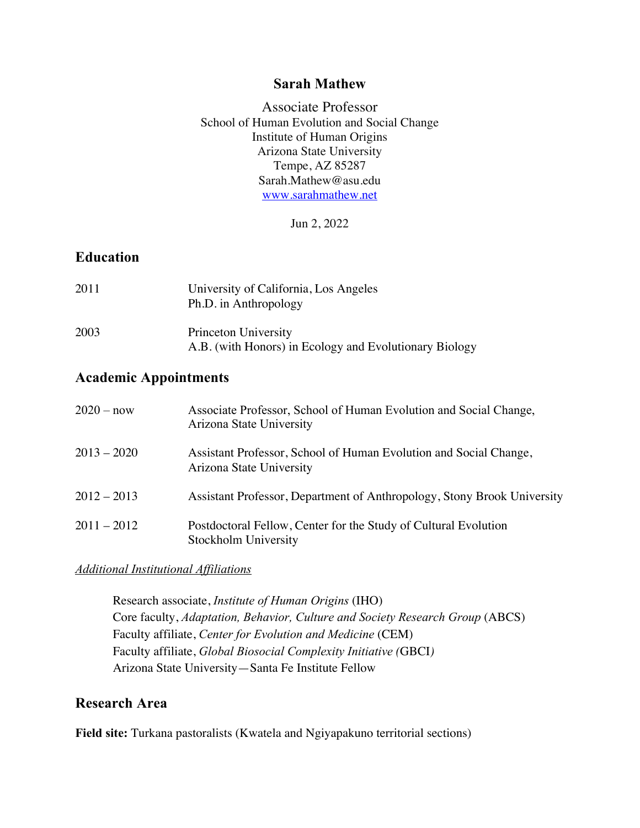### **Sarah Mathew**

Associate Professor School of Human Evolution and Social Change Institute of Human Origins Arizona State University Tempe, AZ 85287 Sarah.Mathew@asu.edu www.sarahmathew.net

Jun 2, 2022

# **Education**

| 2011 | University of California, Los Angeles<br>Ph.D. in Anthropology                 |
|------|--------------------------------------------------------------------------------|
| 2003 | Princeton University<br>A.B. (with Honors) in Ecology and Evolutionary Biology |

# **Academic Appointments**

| $2020 - now$  | Associate Professor, School of Human Evolution and Social Change,<br>Arizona State University |
|---------------|-----------------------------------------------------------------------------------------------|
| $2013 - 2020$ | Assistant Professor, School of Human Evolution and Social Change,<br>Arizona State University |
| $2012 - 2013$ | Assistant Professor, Department of Anthropology, Stony Brook University                       |
| $2011 - 2012$ | Postdoctoral Fellow, Center for the Study of Cultural Evolution<br>Stockholm University       |

### *Additional Institutional Affiliations*

Research associate, *Institute of Human Origins* (IHO) Core faculty, *Adaptation, Behavior, Culture and Society Research Group* (ABCS) Faculty affiliate, *Center for Evolution and Medicine* (CEM) Faculty affiliate, *Global Biosocial Complexity Initiative (*GBCI*)* Arizona State University—Santa Fe Institute Fellow

# **Research Area**

**Field site:** Turkana pastoralists (Kwatela and Ngiyapakuno territorial sections)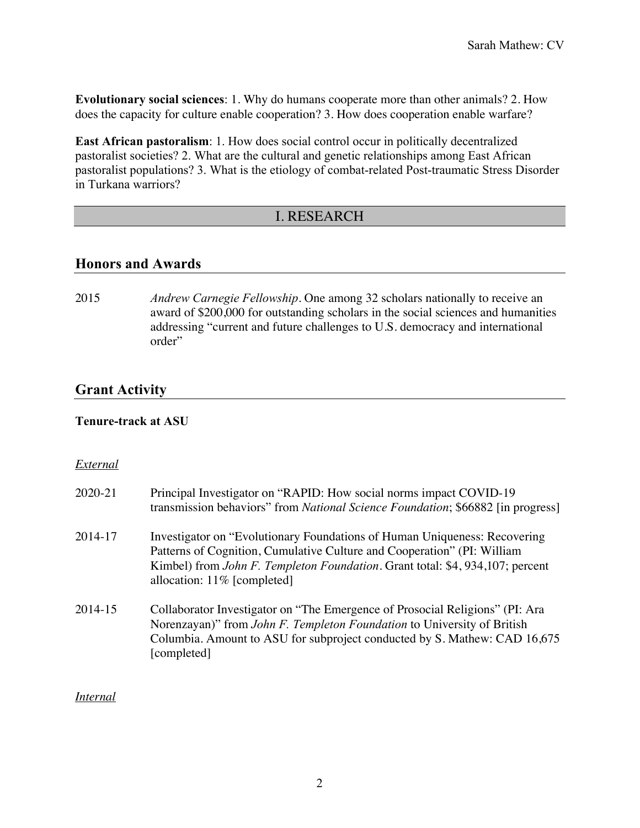**Evolutionary social sciences**: 1. Why do humans cooperate more than other animals? 2. How does the capacity for culture enable cooperation? 3. How does cooperation enable warfare?

**East African pastoralism**: 1. How does social control occur in politically decentralized pastoralist societies? 2. What are the cultural and genetic relationships among East African pastoralist populations? 3. What is the etiology of combat-related Post-traumatic Stress Disorder in Turkana warriors?

## I. RESEARCH

### **Honors and Awards**

2015 *Andrew Carnegie Fellowship*. One among 32 scholars nationally to receive an award of \$200,000 for outstanding scholars in the social sciences and humanities addressing "current and future challenges to U.S. democracy and international order"

## **Grant Activity**

#### **Tenure-track at ASU**

#### *External*

| 2020-21 | Principal Investigator on "RAPID: How social norms impact COVID-19<br>transmission behaviors" from National Science Foundation; \$66882 [in progress]                                                                                                                |  |
|---------|----------------------------------------------------------------------------------------------------------------------------------------------------------------------------------------------------------------------------------------------------------------------|--|
| 2014-17 | Investigator on "Evolutionary Foundations of Human Uniqueness: Recovering<br>Patterns of Cognition, Cumulative Culture and Cooperation" (PI: William<br>Kimbel) from John F. Templeton Foundation. Grant total: \$4, 934,107; percent<br>allocation: 11% [completed] |  |
| 2014-15 | Collaborator Investigator on "The Emergence of Prosocial Religions" (PI: Ara<br>Norenzayan)" from John F. Templeton Foundation to University of British<br>Columbia. Amount to ASU for subproject conducted by S. Mathew: CAD 16,675<br>[completed]                  |  |

#### *Internal*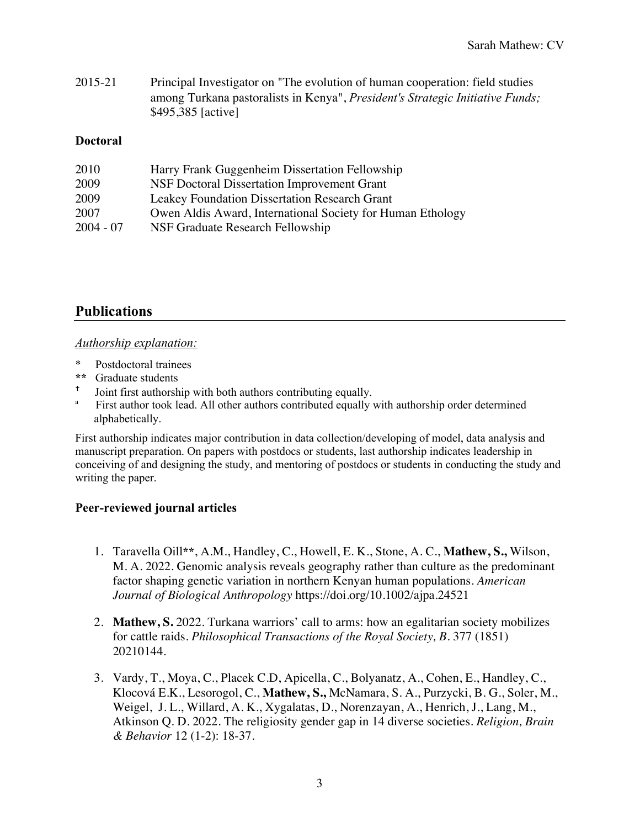2015-21 Principal Investigator on "The evolution of human cooperation: field studies among Turkana pastoralists in Kenya", *President's Strategic Initiative Funds;*  \$495,385 [active]

### **Doctoral**

| 2010        | Harry Frank Guggenheim Dissertation Fellowship             |
|-------------|------------------------------------------------------------|
| 2009        | NSF Doctoral Dissertation Improvement Grant                |
| 2009        | Leakey Foundation Dissertation Research Grant              |
| 2007        | Owen Aldis Award, International Society for Human Ethology |
| $2004 - 07$ | NSF Graduate Research Fellowship                           |

# **Publications**

#### *Authorship explanation:*

- \* Postdoctoral trainees
- **\*\*** Graduate students
- <sup>†</sup> Joint first authorship with both authors contributing equally.
- First author took lead. All other authors contributed equally with authorship order determined alphabetically.

First authorship indicates major contribution in data collection/developing of model, data analysis and manuscript preparation. On papers with postdocs or students, last authorship indicates leadership in conceiving of and designing the study, and mentoring of postdocs or students in conducting the study and writing the paper.

### **Peer-reviewed journal articles**

- 1. Taravella Oill**\*\***, A.M., Handley, C., Howell, E. K., Stone, A. C., **Mathew, S.,** Wilson, M. A. 2022. Genomic analysis reveals geography rather than culture as the predominant factor shaping genetic variation in northern Kenyan human populations. *American Journal of Biological Anthropology* https://doi.org/10.1002/ajpa.24521
- 2. **Mathew, S.** 2022. Turkana warriors' call to arms: how an egalitarian society mobilizes for cattle raids. *Philosophical Transactions of the Royal Society, B*. 377 (1851) 20210144.
- 3. Vardy, T., Moya, C., Placek C.D, Apicella, C., Bolyanatz, A., Cohen, E., Handley, C., Klocová E.K., Lesorogol, C., **Mathew, S.,** McNamara, S. A., Purzycki, B. G., Soler, M., Weigel, J. L., Willard, A. K., Xygalatas, D., Norenzayan, A., Henrich, J., Lang, M., Atkinson Q. D. 2022. The religiosity gender gap in 14 diverse societies. *Religion, Brain & Behavior* 12 (1-2): 18-37.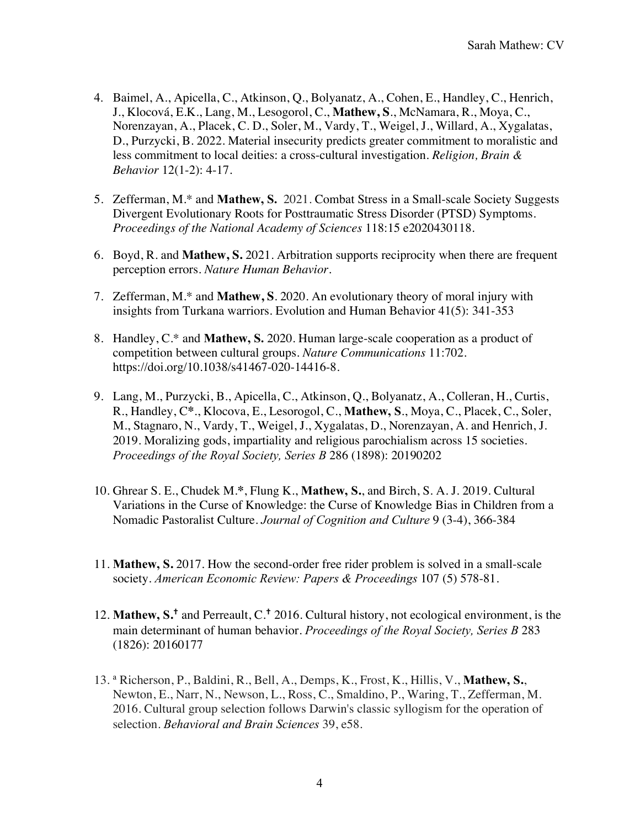- 4. Baimel, A., Apicella, C., Atkinson, Q., Bolyanatz, A., Cohen, E., Handley, C., Henrich, J., Klocová, E.K., Lang, M., Lesogorol, C., **Mathew, S**., McNamara, R., Moya, C., Norenzayan, A., Placek, C. D., Soler, M., Vardy, T., Weigel, J., Willard, A., Xygalatas, D., Purzycki, B. 2022. Material insecurity predicts greater commitment to moralistic and less commitment to local deities: a cross-cultural investigation. *Religion, Brain & Behavior* 12(1-2): 4-17.
- 5. Zefferman, M.\* and **Mathew, S.** 2021. Combat Stress in a Small-scale Society Suggests Divergent Evolutionary Roots for Posttraumatic Stress Disorder (PTSD) Symptoms. *Proceedings of the National Academy of Sciences* 118:15 e2020430118*.*
- 6. Boyd, R. and **Mathew, S.** 2021. Arbitration supports reciprocity when there are frequent perception errors. *Nature Human Behavior.*
- 7. Zefferman, M.\* and **Mathew, S**. 2020. An evolutionary theory of moral injury with insights from Turkana warriors. Evolution and Human Behavior 41(5): 341-353
- 8. Handley, C.\* and **Mathew, S.** 2020. Human large-scale cooperation as a product of competition between cultural groups. *Nature Communications* 11:702. https://doi.org/10.1038/s41467-020-14416-8.
- 9. Lang, M., Purzycki, B., Apicella, C., Atkinson, Q., Bolyanatz, A., Colleran, H., Curtis, R., Handley, C**\***., Klocova, E., Lesorogol, C., **Mathew, S**., Moya, C., Placek, C., Soler, M., Stagnaro, N., Vardy, T., Weigel, J., Xygalatas, D., Norenzayan, A. and Henrich, J*.*  2019. Moralizing gods, impartiality and religious parochialism across 15 societies. *Proceedings of the Royal Society, Series B* 286 (1898): 20190202
- 10. Ghrear S. E., Chudek M.**\***, Flung K., **Mathew, S.**, and Birch, S. A. J. 2019*.* Cultural Variations in the Curse of Knowledge: the Curse of Knowledge Bias in Children from a Nomadic Pastoralist Culture. *Journal of Cognition and Culture* 9 (3-4), 366-384
- 11. **Mathew, S.** 2017. How the second-order free rider problem is solved in a small-scale society. *American Economic Review: Papers & Proceedings* 107 (5) 578-81.
- 12. **Mathew, S. †** and Perreault, C. **†** 2016. Cultural history, not ecological environment, is the main determinant of human behavior. *Proceedings of the Royal Society, Series B* 283 (1826): 20160177
- 13. <sup>a</sup> Richerson, P., Baldini, R., Bell, A., Demps, K., Frost, K., Hillis, V., **Mathew, S.**, Newton, E., Narr, N., Newson, L., Ross, C., Smaldino, P., Waring, T., Zefferman, M. 2016. Cultural group selection follows Darwin's classic syllogism for the operation of selection. *Behavioral and Brain Sciences* 39, e58.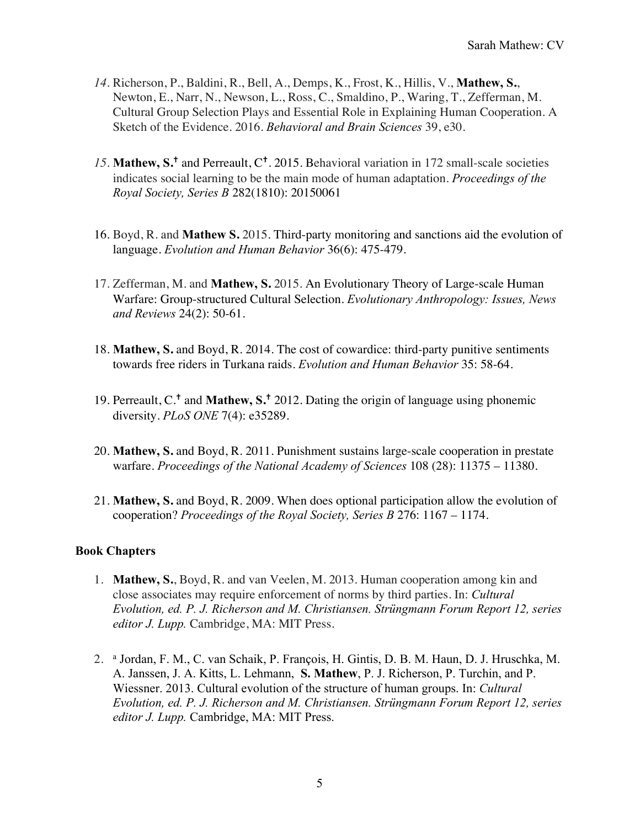- *14.* Richerson, P., Baldini, R., Bell, A., Demps, K., Frost, K., Hillis, V., **Mathew, S.**, Newton, E., Narr, N., Newson, L., Ross, C., Smaldino, P., Waring, T., Zefferman, M. Cultural Group Selection Plays and Essential Role in Explaining Human Cooperation. A Sketch of the Evidence. 2016. *Behavioral and Brain Sciences* 39, e30.
- *15.* **Mathew, S. †** and Perreault, C**†**. 2015. Behavioral variation in 172 small-scale societies indicates social learning to be the main mode of human adaptation. *Proceedings of the Royal Society, Series B* 282(1810): 20150061
- 16. Boyd, R. and **Mathew S.** 2015. Third-party monitoring and sanctions aid the evolution of language. *Evolution and Human Behavior* 36(6): 475-479.
- 17. Zefferman, M. and **Mathew, S.** 2015. An Evolutionary Theory of Large-scale Human Warfare: Group-structured Cultural Selection. *Evolutionary Anthropology: Issues, News and Reviews* 24(2): 50-61.
- 18. **Mathew, S.** and Boyd, R. 2014. The cost of cowardice: third-party punitive sentiments towards free riders in Turkana raids. *Evolution and Human Behavior* 35: 58-64.
- 19. Perreault, C.**†** and **Mathew, S. †** 2012. Dating the origin of language using phonemic diversity. *PLoS ONE* 7(4): e35289.
- 20. **Mathew, S.** and Boyd, R. 2011. Punishment sustains large-scale cooperation in prestate warfare. *Proceedings of the National Academy of Sciences* 108 (28): 11375 – 11380.
- 21. **Mathew, S.** and Boyd, R. 2009. When does optional participation allow the evolution of cooperation? *Proceedings of the Royal Society, Series B* 276: 1167 – 1174.

### **Book Chapters**

- 1. **Mathew, S.**, Boyd, R. and van Veelen, M. 2013. Human cooperation among kin and close associates may require enforcement of norms by third parties. In: *Cultural Evolution, ed. P. J. Richerson and M. Christiansen. Strüngmann Forum Report 12, series editor J. Lupp.* Cambridge, MA: MIT Press.
- 2. <sup>a</sup> Jordan, F. M., C. van Schaik, P. François, H. Gintis, D. B. M. Haun, D. J. Hruschka, M. A. Janssen, J. A. Kitts, L. Lehmann, **S. Mathew**, P. J. Richerson, P. Turchin, and P. Wiessner. 2013. Cultural evolution of the structure of human groups. In: *Cultural Evolution, ed. P. J. Richerson and M. Christiansen. Strüngmann Forum Report 12, series editor J. Lupp.* Cambridge, MA: MIT Press.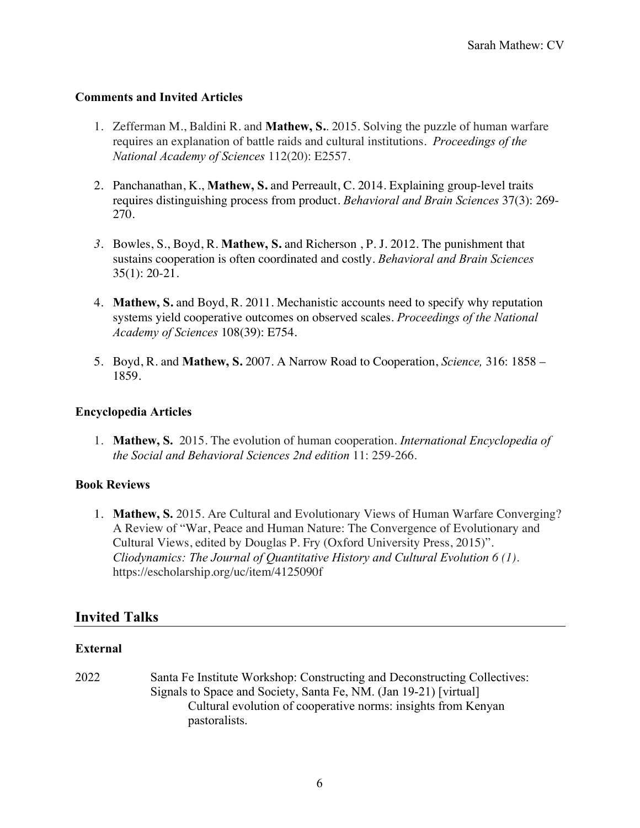### **Comments and Invited Articles**

- 1. Zefferman M., Baldini R. and **Mathew, S.**. 2015. Solving the puzzle of human warfare requires an explanation of battle raids and cultural institutions. *Proceedings of the National Academy of Sciences* 112(20): E2557.
- 2. Panchanathan, K., **Mathew, S.** and Perreault, C. 2014. Explaining group-level traits requires distinguishing process from product. *Behavioral and Brain Sciences* 37(3): 269- 270.
- *3.* Bowles, S., Boyd, R. **Mathew, S.** and Richerson , P. J. 2012. The punishment that sustains cooperation is often coordinated and costly. *Behavioral and Brain Sciences* 35(1): 20-21.
- 4. **Mathew, S.** and Boyd, R. 2011. Mechanistic accounts need to specify why reputation systems yield cooperative outcomes on observed scales. *Proceedings of the National Academy of Sciences* 108(39): E754.
- 5. Boyd, R. and **Mathew, S.** 2007. A Narrow Road to Cooperation, *Science,* 316: 1858 1859.

#### **Encyclopedia Articles**

1. **Mathew, S.** 2015. The evolution of human cooperation. *International Encyclopedia of the Social and Behavioral Sciences 2nd edition* 11: 259-266.

### **Book Reviews**

1. **Mathew, S.** 2015. Are Cultural and Evolutionary Views of Human Warfare Converging? A Review of "War, Peace and Human Nature: The Convergence of Evolutionary and Cultural Views, edited by Douglas P. Fry (Oxford University Press, 2015)". *Cliodynamics: The Journal of Quantitative History and Cultural Evolution 6 (1).* https://escholarship.org/uc/item/4125090f

## **Invited Talks**

### **External**

2022 Santa Fe Institute Workshop: Constructing and Deconstructing Collectives: Signals to Space and Society, Santa Fe, NM. (Jan 19-21) [virtual] Cultural evolution of cooperative norms: insights from Kenyan pastoralists.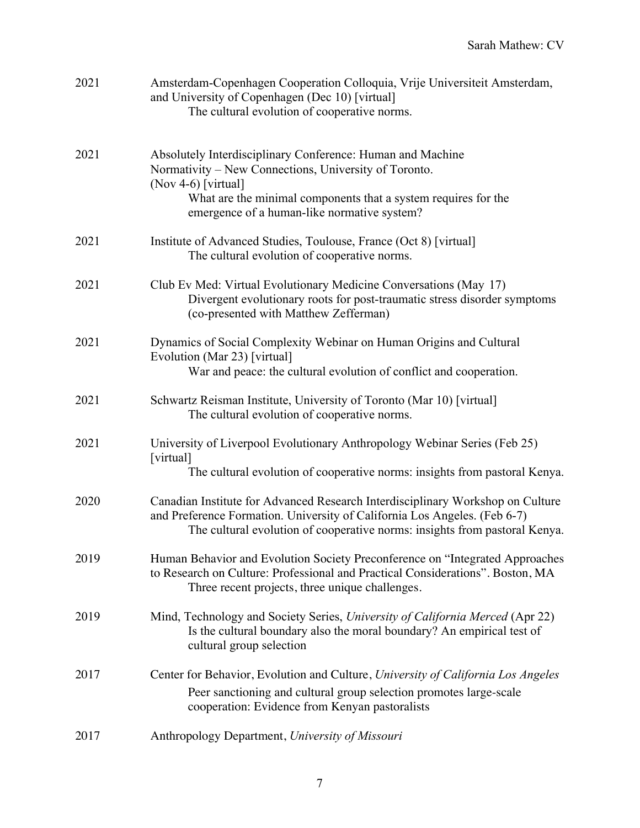| 2021 | Amsterdam-Copenhagen Cooperation Colloquia, Vrije Universiteit Amsterdam,<br>and University of Copenhagen (Dec 10) [virtual]<br>The cultural evolution of cooperative norms.                                                                                |
|------|-------------------------------------------------------------------------------------------------------------------------------------------------------------------------------------------------------------------------------------------------------------|
| 2021 | Absolutely Interdisciplinary Conference: Human and Machine<br>Normativity – New Connections, University of Toronto.<br>(Nov 4-6) [virtual]<br>What are the minimal components that a system requires for the<br>emergence of a human-like normative system? |
| 2021 | Institute of Advanced Studies, Toulouse, France (Oct 8) [virtual]<br>The cultural evolution of cooperative norms.                                                                                                                                           |
| 2021 | Club Ev Med: Virtual Evolutionary Medicine Conversations (May 17)<br>Divergent evolutionary roots for post-traumatic stress disorder symptoms<br>(co-presented with Matthew Zefferman)                                                                      |
| 2021 | Dynamics of Social Complexity Webinar on Human Origins and Cultural<br>Evolution (Mar 23) [virtual]<br>War and peace: the cultural evolution of conflict and cooperation.                                                                                   |
| 2021 | Schwartz Reisman Institute, University of Toronto (Mar 10) [virtual]<br>The cultural evolution of cooperative norms.                                                                                                                                        |
| 2021 | University of Liverpool Evolutionary Anthropology Webinar Series (Feb 25)<br>[virtual]<br>The cultural evolution of cooperative norms: insights from pastoral Kenya.                                                                                        |
| 2020 | Canadian Institute for Advanced Research Interdisciplinary Workshop on Culture<br>and Preference Formation. University of California Los Angeles. (Feb 6-7)<br>The cultural evolution of cooperative norms: insights from pastoral Kenya.                   |
| 2019 | Human Behavior and Evolution Society Preconference on "Integrated Approaches"<br>to Research on Culture: Professional and Practical Considerations". Boston, MA<br>Three recent projects, three unique challenges.                                          |
| 2019 | Mind, Technology and Society Series, University of California Merced (Apr 22)<br>Is the cultural boundary also the moral boundary? An empirical test of<br>cultural group selection                                                                         |
| 2017 | Center for Behavior, Evolution and Culture, University of California Los Angeles<br>Peer sanctioning and cultural group selection promotes large-scale<br>cooperation: Evidence from Kenyan pastoralists                                                    |
| 2017 | Anthropology Department, University of Missouri                                                                                                                                                                                                             |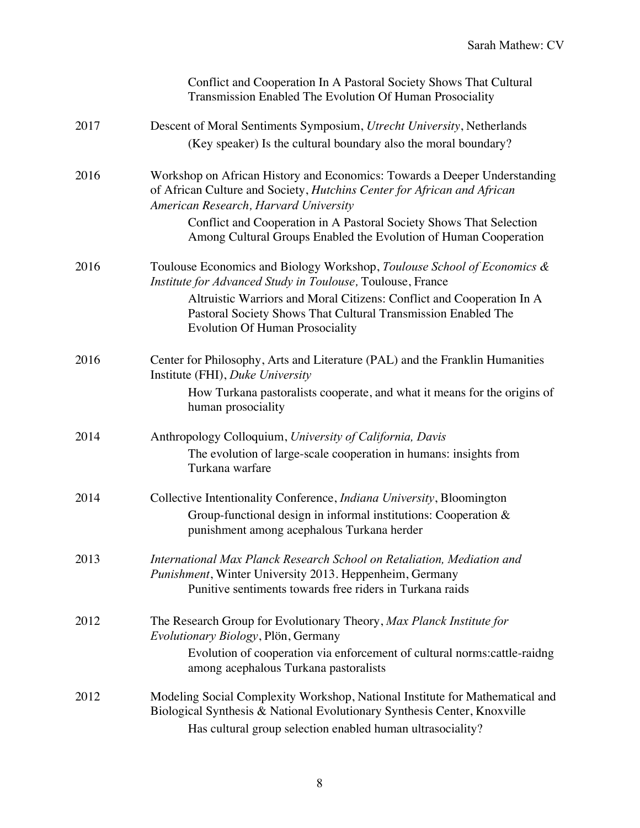|      | Conflict and Cooperation In A Pastoral Society Shows That Cultural<br>Transmission Enabled The Evolution Of Human Prosociality                                                                                         |
|------|------------------------------------------------------------------------------------------------------------------------------------------------------------------------------------------------------------------------|
| 2017 | Descent of Moral Sentiments Symposium, Utrecht University, Netherlands<br>(Key speaker) Is the cultural boundary also the moral boundary?                                                                              |
| 2016 | Workshop on African History and Economics: Towards a Deeper Understanding<br>of African Culture and Society, Hutchins Center for African and African<br>American Research, Harvard University                          |
|      | Conflict and Cooperation in A Pastoral Society Shows That Selection<br>Among Cultural Groups Enabled the Evolution of Human Cooperation                                                                                |
| 2016 | Toulouse Economics and Biology Workshop, Toulouse School of Economics &<br>Institute for Advanced Study in Toulouse, Toulouse, France                                                                                  |
|      | Altruistic Warriors and Moral Citizens: Conflict and Cooperation In A<br>Pastoral Society Shows That Cultural Transmission Enabled The<br><b>Evolution Of Human Prosociality</b>                                       |
| 2016 | Center for Philosophy, Arts and Literature (PAL) and the Franklin Humanities<br>Institute (FHI), Duke University                                                                                                       |
|      | How Turkana pastoralists cooperate, and what it means for the origins of<br>human prosociality                                                                                                                         |
| 2014 | Anthropology Colloquium, University of California, Davis                                                                                                                                                               |
|      | The evolution of large-scale cooperation in humans: insights from<br>Turkana warfare                                                                                                                                   |
| 2014 | Collective Intentionality Conference, <i>Indiana University</i> , Bloomington<br>Group-functional design in informal institutions: Cooperation &<br>punishment among acephalous Turkana herder                         |
| 2013 | International Max Planck Research School on Retaliation, Mediation and<br>Punishment, Winter University 2013. Heppenheim, Germany<br>Punitive sentiments towards free riders in Turkana raids                          |
| 2012 | The Research Group for Evolutionary Theory, Max Planck Institute for<br>Evolutionary Biology, Plön, Germany                                                                                                            |
|      | Evolution of cooperation via enforcement of cultural norms: cattle-raidng<br>among acephalous Turkana pastoralists                                                                                                     |
| 2012 | Modeling Social Complexity Workshop, National Institute for Mathematical and<br>Biological Synthesis & National Evolutionary Synthesis Center, Knoxville<br>Has cultural group selection enabled human ultrasociality? |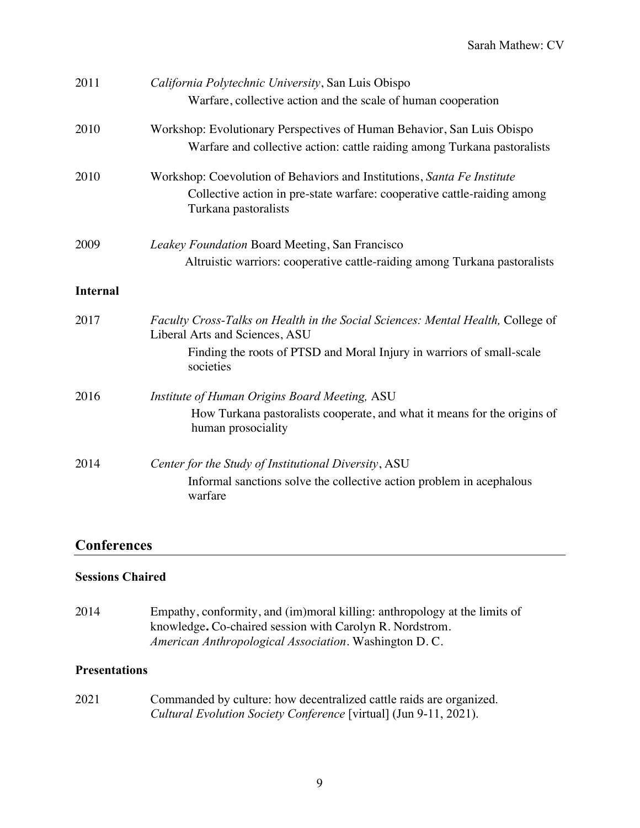| 2011            | California Polytechnic University, San Luis Obispo<br>Warfare, collective action and the scale of human cooperation                                                         |  |
|-----------------|-----------------------------------------------------------------------------------------------------------------------------------------------------------------------------|--|
| 2010            | Workshop: Evolutionary Perspectives of Human Behavior, San Luis Obispo<br>Warfare and collective action: cattle raiding among Turkana pastoralists                          |  |
| 2010            | Workshop: Coevolution of Behaviors and Institutions, Santa Fe Institute<br>Collective action in pre-state warfare: cooperative cattle-raiding among<br>Turkana pastoralists |  |
| 2009            | Leakey Foundation Board Meeting, San Francisco<br>Altruistic warriors: cooperative cattle-raiding among Turkana pastoralists                                                |  |
| <b>Internal</b> |                                                                                                                                                                             |  |
| 2017            | Faculty Cross-Talks on Health in the Social Sciences: Mental Health, College of<br>Liberal Arts and Sciences, ASU                                                           |  |
|                 | Finding the roots of PTSD and Moral Injury in warriors of small-scale<br>societies                                                                                          |  |
| 2016            | Institute of Human Origins Board Meeting, ASU                                                                                                                               |  |
|                 | How Turkana pastoralists cooperate, and what it means for the origins of<br>human prosociality                                                                              |  |
| 2014            | Center for the Study of Institutional Diversity, ASU                                                                                                                        |  |
|                 | Informal sanctions solve the collective action problem in acephalous<br>warfare                                                                                             |  |

## **Conferences**

### **Sessions Chaired**

2014 Empathy, conformity, and (im)moral killing: anthropology at the limits of knowledge**.** Co-chaired session with Carolyn R. Nordstrom. *American Anthropological Association.* Washington D. C.

### **Presentations**

2021 Commanded by culture: how decentralized cattle raids are organized. *Cultural Evolution Society Conference* [virtual] (Jun 9-11, 2021).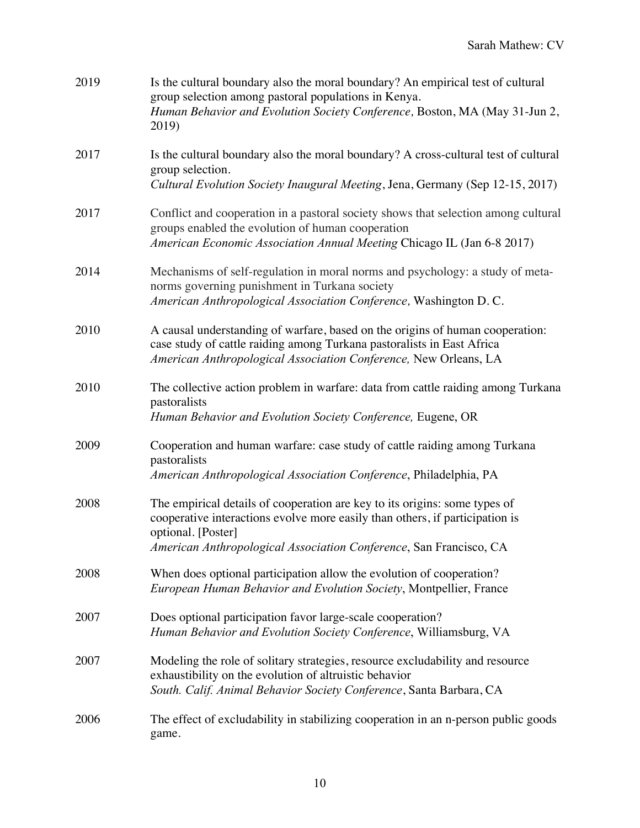| 2019 | Is the cultural boundary also the moral boundary? An empirical test of cultural<br>group selection among pastoral populations in Kenya.<br>Human Behavior and Evolution Society Conference, Boston, MA (May 31-Jun 2,<br>2019)                         |
|------|--------------------------------------------------------------------------------------------------------------------------------------------------------------------------------------------------------------------------------------------------------|
| 2017 | Is the cultural boundary also the moral boundary? A cross-cultural test of cultural<br>group selection.<br>Cultural Evolution Society Inaugural Meeting, Jena, Germany (Sep 12-15, 2017)                                                               |
| 2017 | Conflict and cooperation in a pastoral society shows that selection among cultural<br>groups enabled the evolution of human cooperation<br>American Economic Association Annual Meeting Chicago IL (Jan 6-8 2017)                                      |
| 2014 | Mechanisms of self-regulation in moral norms and psychology: a study of meta-<br>norms governing punishment in Turkana society<br>American Anthropological Association Conference, Washington D.C.                                                     |
| 2010 | A causal understanding of warfare, based on the origins of human cooperation:<br>case study of cattle raiding among Turkana pastoralists in East Africa<br>American Anthropological Association Conference, New Orleans, LA                            |
| 2010 | The collective action problem in warfare: data from cattle raiding among Turkana<br>pastoralists<br>Human Behavior and Evolution Society Conference, Eugene, OR                                                                                        |
| 2009 | Cooperation and human warfare: case study of cattle raiding among Turkana<br>pastoralists<br>American Anthropological Association Conference, Philadelphia, PA                                                                                         |
| 2008 | The empirical details of cooperation are key to its origins: some types of<br>cooperative interactions evolve more easily than others, if participation is<br>optional. [Poster]<br>American Anthropological Association Conference, San Francisco, CA |
| 2008 | When does optional participation allow the evolution of cooperation?<br>European Human Behavior and Evolution Society, Montpellier, France                                                                                                             |
| 2007 | Does optional participation favor large-scale cooperation?<br>Human Behavior and Evolution Society Conference, Williamsburg, VA                                                                                                                        |
| 2007 | Modeling the role of solitary strategies, resource excludability and resource<br>exhaustibility on the evolution of altruistic behavior<br>South. Calif. Animal Behavior Society Conference, Santa Barbara, CA                                         |
| 2006 | The effect of excludability in stabilizing cooperation in an n-person public goods<br>game.                                                                                                                                                            |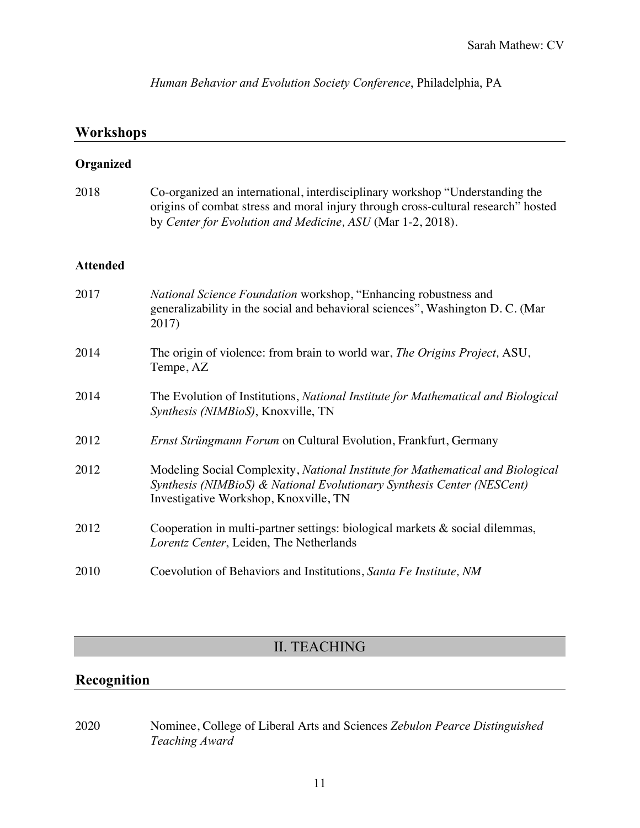*Human Behavior and Evolution Society Conference*, Philadelphia, PA

# **Workshops**

| Organized       |                                                                                                                                                                                                                                 |
|-----------------|---------------------------------------------------------------------------------------------------------------------------------------------------------------------------------------------------------------------------------|
| 2018            | Co-organized an international, interdisciplinary workshop "Understanding the<br>origins of combat stress and moral injury through cross-cultural research" hosted<br>by Center for Evolution and Medicine, ASU (Mar 1-2, 2018). |
| <b>Attended</b> |                                                                                                                                                                                                                                 |
| 2017            | National Science Foundation workshop, "Enhancing robustness and<br>generalizability in the social and behavioral sciences", Washington D. C. (Mar<br>2017)                                                                      |
| 2014            | The origin of violence: from brain to world war, The Origins Project, ASU,<br>Tempe, AZ                                                                                                                                         |
| 2014            | The Evolution of Institutions, National Institute for Mathematical and Biological<br>Synthesis (NIMBioS), Knoxville, TN                                                                                                         |
| 2012            | Ernst Strüngmann Forum on Cultural Evolution, Frankfurt, Germany                                                                                                                                                                |
| 2012            | Modeling Social Complexity, National Institute for Mathematical and Biological<br>Synthesis (NIMBioS) & National Evolutionary Synthesis Center (NESCent)<br>Investigative Workshop, Knoxville, TN                               |
| 2012            | Cooperation in multi-partner settings: biological markets & social dilemmas,<br>Lorentz Center, Leiden, The Netherlands                                                                                                         |
| 2010            | Coevolution of Behaviors and Institutions, Santa Fe Institute, NM                                                                                                                                                               |

# II. TEACHING

# **Recognition**

2020 Nominee, College of Liberal Arts and Sciences *Zebulon Pearce Distinguished Teaching Award*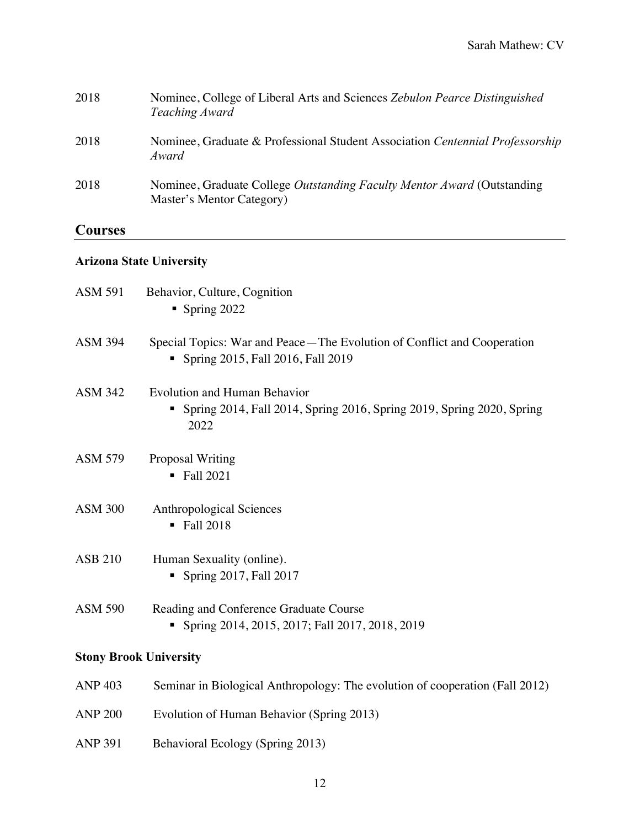| 2018 | Nominee, College of Liberal Arts and Sciences Zebulon Pearce Distinguished<br>Teaching Award         |
|------|------------------------------------------------------------------------------------------------------|
| 2018 | Nominee, Graduate & Professional Student Association Centennial Professorship<br>Award               |
| 2018 | Nominee, Graduate College Outstanding Faculty Mentor Award (Outstanding<br>Master's Mentor Category) |
|      |                                                                                                      |

# **Courses**

# **Arizona State University**

| <b>ASM 591</b>                | Behavior, Culture, Cognition<br>Spring $2022$                                                                             |  |
|-------------------------------|---------------------------------------------------------------------------------------------------------------------------|--|
| <b>ASM 394</b>                | Special Topics: War and Peace—The Evolution of Conflict and Cooperation<br>Spring 2015, Fall 2016, Fall 2019              |  |
| <b>ASM 342</b>                | <b>Evolution and Human Behavior</b><br>Spring 2014, Fall 2014, Spring 2016, Spring 2019, Spring 2020, Spring<br>п<br>2022 |  |
| <b>ASM 579</b>                | Proposal Writing<br>$\blacksquare$ Fall 2021                                                                              |  |
| <b>ASM 300</b>                | <b>Anthropological Sciences</b><br>$\blacksquare$ Fall 2018                                                               |  |
| <b>ASB 210</b>                | Human Sexuality (online).<br>Spring $2017$ , Fall $2017$                                                                  |  |
| <b>ASM 590</b>                | Reading and Conference Graduate Course<br>Spring 2014, 2015, 2017; Fall 2017, 2018, 2019                                  |  |
| <b>Stony Brook University</b> |                                                                                                                           |  |
| <b>ANP 403</b>                | Seminar in Biological Anthropology: The evolution of cooperation (Fall 2012)                                              |  |
| <b>ANP 200</b>                | Evolution of Human Behavior (Spring 2013)                                                                                 |  |
| <b>ANP 391</b>                | Behavioral Ecology (Spring 2013)                                                                                          |  |
|                               |                                                                                                                           |  |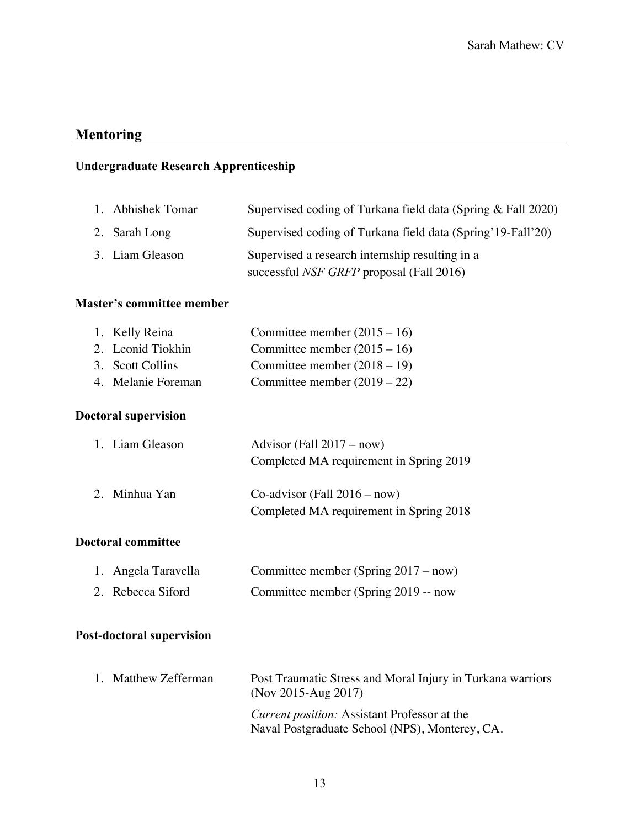# **Mentoring**

# **Undergraduate Research Apprenticeship**

| 1. Abhishek Tomar | Supervised coding of Turkana field data (Spring & Fall 2020)                                       |
|-------------------|----------------------------------------------------------------------------------------------------|
| 2. Sarah Long     | Supervised coding of Turkana field data (Spring' 19-Fall'20)                                       |
| 3. Liam Gleason   | Supervised a research internship resulting in a<br>successful <i>NSF GRFP</i> proposal (Fall 2016) |

#### **Master's committee member**

| 1. Kelly Reina     | Committee member $(2015 – 16)$ |
|--------------------|--------------------------------|
| 2. Leonid Tiokhin  | Committee member $(2015 – 16)$ |
| 3. Scott Collins   | Committee member $(2018 – 19)$ |
| 4. Melanie Foreman | Committee member $(2019 – 22)$ |

### **Doctoral supervision**

| 1. Liam Gleason | Advisor (Fall $2017 - now$ )            |
|-----------------|-----------------------------------------|
|                 | Completed MA requirement in Spring 2019 |
| 2. Minhua Yan   | $Co$ -advisor (Fall $2016 - now$ )      |
|                 | Completed MA requirement in Spring 2018 |

### **Doctoral committee**

| 1. Angela Taravella | Committee member (Spring $2017 - now$ ) |
|---------------------|-----------------------------------------|
| 2. Rebecca Siford   | Committee member (Spring 2019 -- now    |

# **Post-doctoral supervision**

|  | 1. Matthew Zefferman | Post Traumatic Stress and Moral Injury in Turkana warriors<br>(Nov 2015-Aug 2017)                     |
|--|----------------------|-------------------------------------------------------------------------------------------------------|
|  |                      | <i>Current position:</i> Assistant Professor at the<br>Naval Postgraduate School (NPS), Monterey, CA. |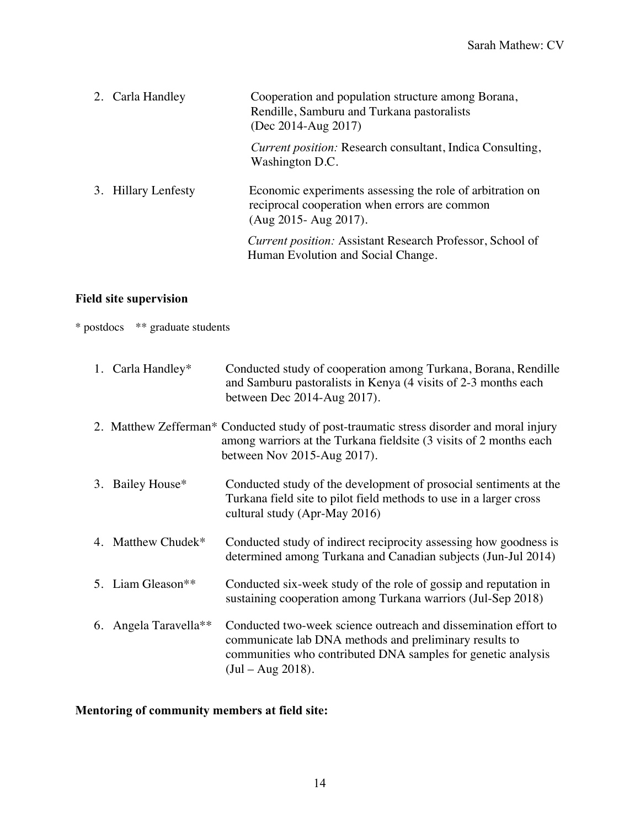| 2. Carla Handley    | Cooperation and population structure among Borana,<br>Rendille, Samburu and Turkana pastoralists<br>(Dec 2014-Aug 2017)                 |
|---------------------|-----------------------------------------------------------------------------------------------------------------------------------------|
|                     | <i>Current position:</i> Research consultant, Indica Consulting,<br>Washington D.C.                                                     |
| 3. Hillary Lenfesty | Economic experiments assessing the role of arbitration on<br>reciprocal cooperation when errors are common<br>$(Aug 2015 - Aug 2017)$ . |
|                     | <i>Current position:</i> Assistant Research Professor, School of<br>Human Evolution and Social Change.                                  |

# **Field site supervision**

\* postdocs \*\* graduate students

| 1. Carla Handley*             | Conducted study of cooperation among Turkana, Borana, Rendille<br>and Samburu pastoralists in Kenya (4 visits of 2-3 months each<br>between Dec 2014-Aug 2017).                                                  |
|-------------------------------|------------------------------------------------------------------------------------------------------------------------------------------------------------------------------------------------------------------|
|                               | 2. Matthew Zefferman* Conducted study of post-traumatic stress disorder and moral injury<br>among warriors at the Turkana fieldsite (3 visits of 2 months each<br>between Nov 2015-Aug 2017).                    |
| 3. Bailey House*              | Conducted study of the development of prosocial sentiments at the<br>Turkana field site to pilot field methods to use in a larger cross<br>cultural study (Apr-May 2016)                                         |
| 4. Matthew Chudek*            | Conducted study of indirect reciprocity assessing how goodness is<br>determined among Turkana and Canadian subjects (Jun-Jul 2014)                                                                               |
| 5. Liam Gleason <sup>**</sup> | Conducted six-week study of the role of gossip and reputation in<br>sustaining cooperation among Turkana warriors (Jul-Sep 2018)                                                                                 |
| 6. Angela Taravella**         | Conducted two-week science outreach and dissemination effort to<br>communicate lab DNA methods and preliminary results to<br>communities who contributed DNA samples for genetic analysis<br>$(Jul - Aug 2018).$ |

# **Mentoring of community members at field site:**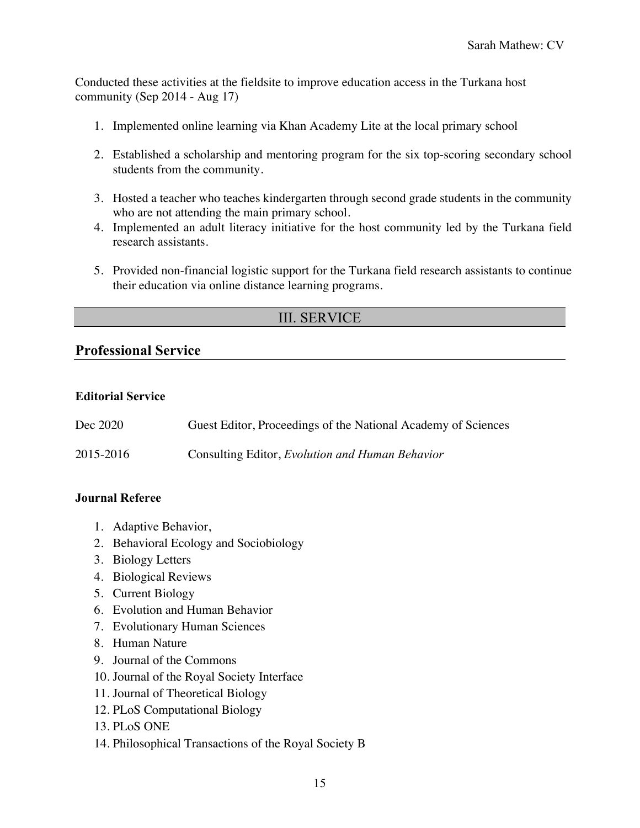Conducted these activities at the fieldsite to improve education access in the Turkana host community (Sep 2014 - Aug 17)

- 1. Implemented online learning via Khan Academy Lite at the local primary school
- 2. Established a scholarship and mentoring program for the six top-scoring secondary school students from the community.
- 3. Hosted a teacher who teaches kindergarten through second grade students in the community who are not attending the main primary school.
- 4. Implemented an adult literacy initiative for the host community led by the Turkana field research assistants.
- 5. Provided non-financial logistic support for the Turkana field research assistants to continue their education via online distance learning programs.

# III. SERVICE

## **Professional Service**

#### **Editorial Service**

| Dec 2020  | Guest Editor, Proceedings of the National Academy of Sciences |
|-----------|---------------------------------------------------------------|
| 2015-2016 | Consulting Editor, Evolution and Human Behavior               |

### **Journal Referee**

- 1. Adaptive Behavior,
- 2. Behavioral Ecology and Sociobiology
- 3. Biology Letters
- 4. Biological Reviews
- 5. Current Biology
- 6. Evolution and Human Behavior
- 7. Evolutionary Human Sciences
- 8. Human Nature
- 9. Journal of the Commons
- 10. Journal of the Royal Society Interface
- 11. Journal of Theoretical Biology
- 12. PLoS Computational Biology
- 13. PLoS ONE
- 14. Philosophical Transactions of the Royal Society B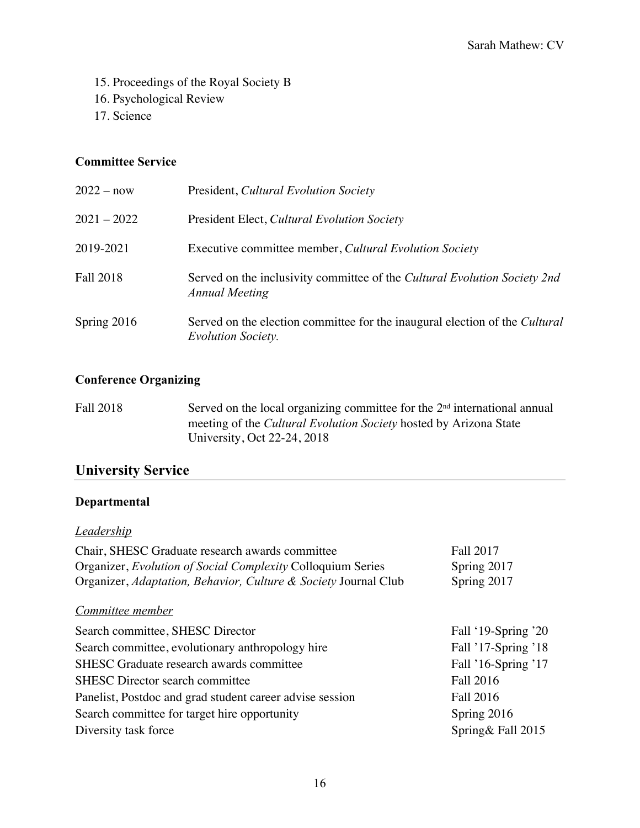- 15. Proceedings of the Royal Society B
- 16. Psychological Review
- 17. Science

### **Committee Service**

| $2022 - now$     | President, Cultural Evolution Society                                                                    |
|------------------|----------------------------------------------------------------------------------------------------------|
| $2021 - 2022$    | President Elect, Cultural Evolution Society                                                              |
| 2019-2021        | Executive committee member, Cultural Evolution Society                                                   |
| <b>Fall 2018</b> | Served on the inclusivity committee of the Cultural Evolution Society 2nd<br><b>Annual Meeting</b>       |
| Spring 2016      | Served on the election committee for the inaugural election of the Cultural<br><b>Evolution Society.</b> |

## **Conference Organizing**

Fall 2018 Served on the local organizing committee for the  $2<sup>nd</sup>$  international annual meeting of the *Cultural Evolution Society* hosted by Arizona State University, Oct 22-24, 2018

# **University Service**

# **Departmental**

### *Leadership*

| Chair, SHESC Graduate research awards committee                 | <b>Fall 2017</b>    |
|-----------------------------------------------------------------|---------------------|
| Organizer, Evolution of Social Complexity Colloquium Series     | Spring 2017         |
| Organizer, Adaptation, Behavior, Culture & Society Journal Club | Spring 2017         |
| Committee member                                                |                     |
| Search committee, SHESC Director                                | Fall '19-Spring '20 |
| Search committee, evolutionary anthropology hire                | Fall '17-Spring '18 |
| SHESC Graduate research awards committee                        | Fall '16-Spring '17 |
| <b>SHESC</b> Director search committee                          | <b>Fall 2016</b>    |
| Panelist, Postdoc and grad student career advise session        | Fall 2016           |
| Search committee for target hire opportunity                    | Spring 2016         |
| Diversity task force                                            | Spring& Fall 2015   |
|                                                                 |                     |